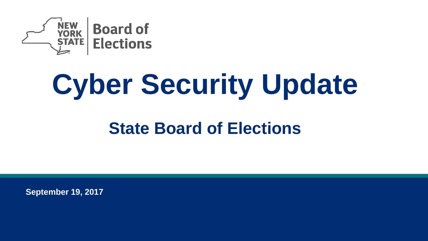

# **Cyber Security Update**

#### **State Board of Elections**

**September 19, 2017**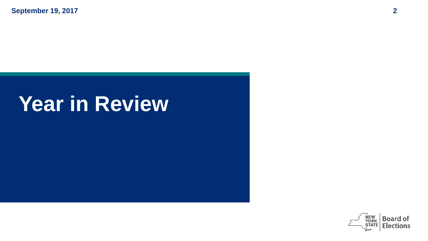## **Year in Review**

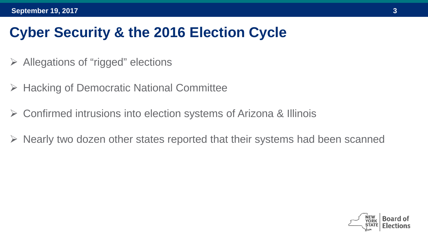#### **Cyber Security & the 2016 Election Cycle**

- $\triangleright$  Allegations of "rigged" elections
- **► Hacking of Democratic National Committee**
- Confirmed intrusions into election systems of Arizona & Illinois
- $\triangleright$  Nearly two dozen other states reported that their systems had been scanned

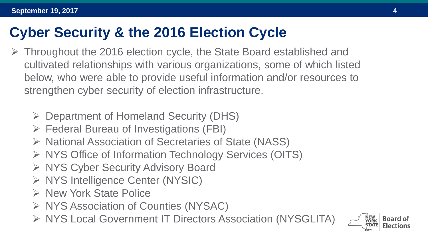#### **Cyber Security & the 2016 Election Cycle**

- Throughout the 2016 election cycle, the State Board established and cultivated relationships with various organizations, some of which listed below, who were able to provide useful information and/or resources to strengthen cyber security of election infrastructure.
	- Department of Homeland Security (DHS)
	- Federal Bureau of Investigations (FBI)
	- $\triangleright$  National Association of Secretaries of State (NASS)
	- ▶ NYS Office of Information Technology Services (OITS)
	- ▶ NYS Cyber Security Advisory Board
	- ▶ NYS Intelligence Center (NYSIC)
	- ▶ New York State Police
	- ▶ NYS Association of Counties (NYSAC)
	- ▶ NYS Local Government IT Directors Association (NYSGLITA)

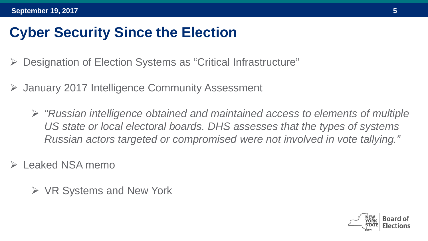#### **Cyber Security Since the Election**

- Designation of Election Systems as "Critical Infrastructure"
- January 2017 Intelligence Community Assessment
	- *"Russian intelligence obtained and maintained access to elements of multiple US state or local electoral boards. DHS assesses that the types of systems Russian actors targeted or compromised were not involved in vote tallying."*
- Leaked NSA memo
	- $\triangleright$  VR Systems and New York

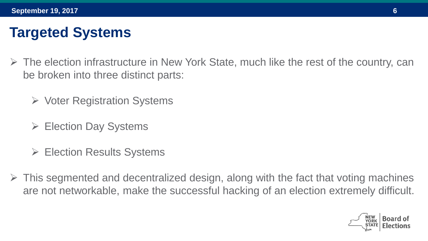#### **Targeted Systems**

- $\triangleright$  The election infrastructure in New York State, much like the rest of the country, can be broken into three distinct parts:
	- $\triangleright$  Voter Registration Systems
	- Election Day Systems
	- **► Election Results Systems**
- $\triangleright$  This segmented and decentralized design, along with the fact that voting machines are not networkable, make the successful hacking of an election extremely difficult.

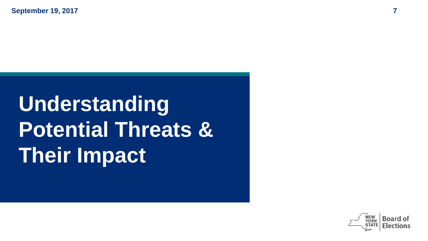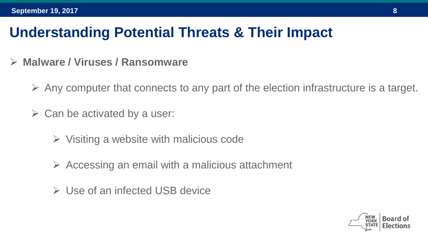- **Malware / Viruses / Ransomware**
	- $\triangleright$  Any computer that connects to any part of the election infrastructure is a target.
	- $\triangleright$  Can be activated by a user:
		- $\triangleright$  Visiting a website with malicious code
		- $\triangleright$  Accessing an email with a malicious attachment
		- Use of an infected USB device

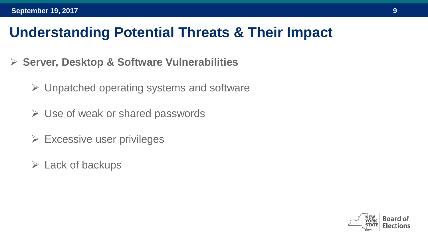- **Server, Desktop & Software Vulnerabilities**
	- $\triangleright$  Unpatched operating systems and software
	- $\triangleright$  Use of weak or shared passwords
	- $\triangleright$  Excessive user privileges
	- $\triangleright$  Lack of backups

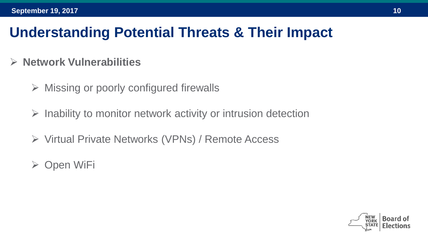#### **Network Vulnerabilities**

- $\triangleright$  Missing or poorly configured firewalls
- $\triangleright$  Inability to monitor network activity or intrusion detection
- Virtual Private Networks (VPNs) / Remote Access
- $\triangleright$  Open WiFi

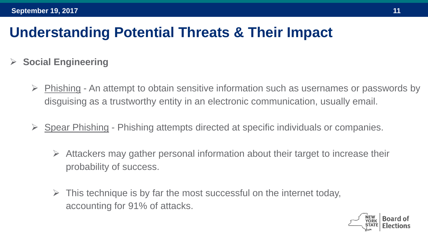- **Social Engineering**
	- $\triangleright$  Phishing An attempt to obtain sensitive information such as usernames or passwords by disguising as a trustworthy entity in an electronic communication, usually email.
	- $\triangleright$  Spear Phishing Phishing attempts directed at specific individuals or companies.
		- $\triangleright$  Attackers may gather personal information about their target to increase their probability of success.
		- $\triangleright$  This technique is by far the most successful on the internet today, accounting for 91% of attacks.

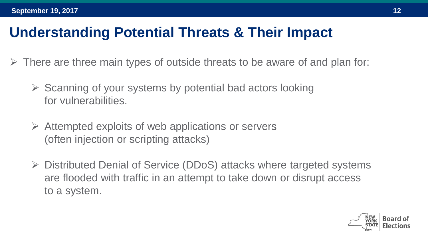- $\triangleright$  There are three main types of outside threats to be aware of and plan for:
	- $\triangleright$  Scanning of your systems by potential bad actors looking for vulnerabilities.
	- $\triangleright$  Attempted exploits of web applications or servers (often injection or scripting attacks)
	- $\triangleright$  Distributed Denial of Service (DDoS) attacks where targeted systems are flooded with traffic in an attempt to take down or disrupt access to a system.

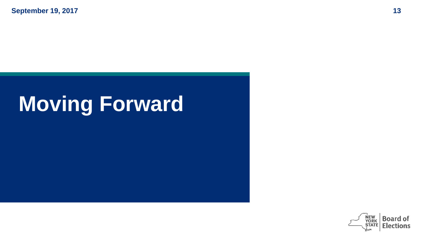## **Moving Forward**

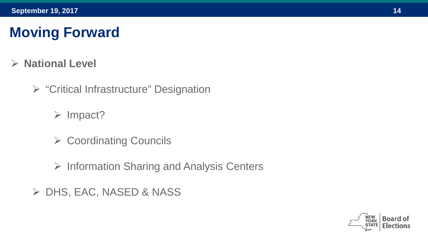#### **Moving Forward**

- **National Level**
	- $\triangleright$  "Critical Infrastructure" Designation
		- $\triangleright$  Impact?
		- **► Coordinating Councils**
		- $\triangleright$  Information Sharing and Analysis Centers
	- DHS, EAC, NASED & NASS

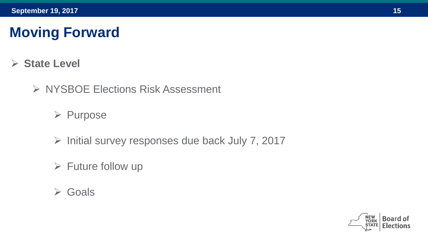#### **Moving Forward**

- **State Level**
	- ▶ NYSBOE Elections Risk Assessment
		- $\triangleright$  Purpose
		- $\triangleright$  Initial survey responses due back July 7, 2017
		- $\triangleright$  Future follow up
		- Goals

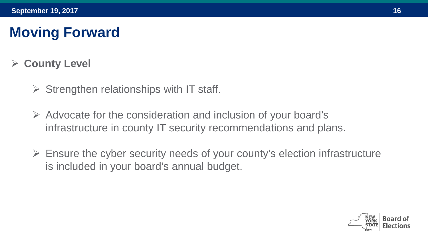#### **Moving Forward**

#### **County Level**

- $\triangleright$  Strengthen relationships with IT staff.
- $\triangleright$  Advocate for the consideration and inclusion of your board's infrastructure in county IT security recommendations and plans.
- $\triangleright$  Ensure the cyber security needs of your county's election infrastructure is included in your board's annual budget.